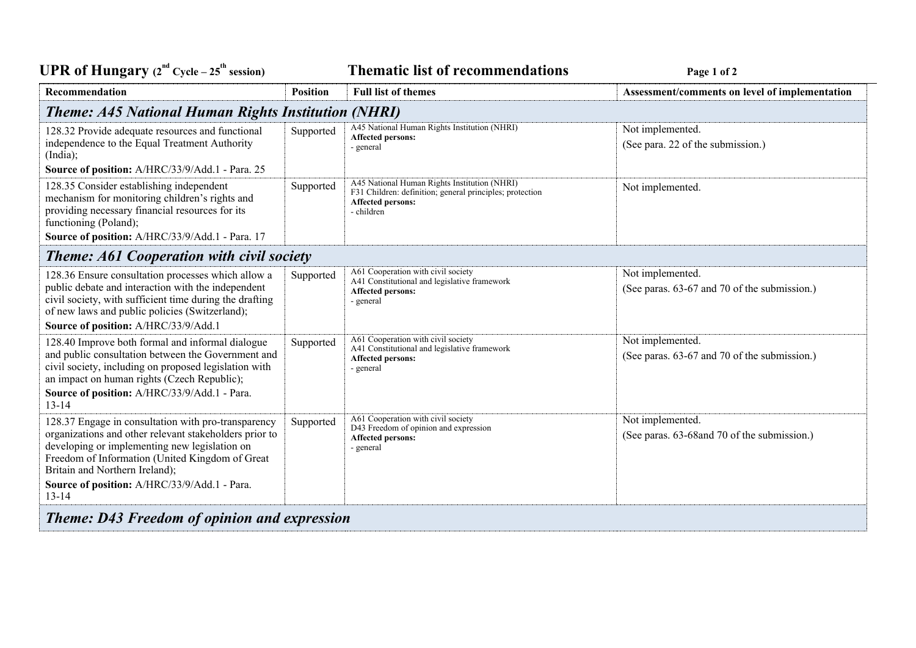**UPR** of Hungary  $(2^{nd} Cycle - 25^th)$ 

**session) Thematic list of recommendations Page <sup>1</sup> of <sup>2</sup>**

| Recommendation                                                                                                                                                                                                                                                                                                   | <b>Position</b> | <b>Full list of themes</b>                                                                                                                         | Assessment/comments on level of implementation                   |  |  |
|------------------------------------------------------------------------------------------------------------------------------------------------------------------------------------------------------------------------------------------------------------------------------------------------------------------|-----------------|----------------------------------------------------------------------------------------------------------------------------------------------------|------------------------------------------------------------------|--|--|
| <b>Theme: A45 National Human Rights Institution (NHRI)</b>                                                                                                                                                                                                                                                       |                 |                                                                                                                                                    |                                                                  |  |  |
| 128.32 Provide adequate resources and functional<br>independence to the Equal Treatment Authority<br>(India);<br>Source of position: A/HRC/33/9/Add.1 - Para. 25                                                                                                                                                 | Supported       | A45 National Human Rights Institution (NHRI)<br>Affected persons:<br>- general                                                                     | Not implemented.<br>(See para. 22 of the submission.)            |  |  |
| 128.35 Consider establishing independent<br>mechanism for monitoring children's rights and<br>providing necessary financial resources for its<br>functioning (Poland);<br>Source of position: A/HRC/33/9/Add.1 - Para. 17                                                                                        | Supported       | A45 National Human Rights Institution (NHRI)<br>F31 Children: definition; general principles; protection<br><b>Affected persons:</b><br>- children | Not implemented.                                                 |  |  |
| <b>Theme: A61 Cooperation with civil society</b>                                                                                                                                                                                                                                                                 |                 |                                                                                                                                                    |                                                                  |  |  |
| 128.36 Ensure consultation processes which allow a<br>public debate and interaction with the independent<br>civil society, with sufficient time during the drafting<br>of new laws and public policies (Switzerland);<br>Source of position: A/HRC/33/9/Add.1                                                    | Supported       | A61 Cooperation with civil society<br>A41 Constitutional and legislative framework<br>Affected persons:<br>- general                               | Not implemented.<br>(See paras. 63-67 and 70 of the submission.) |  |  |
| 128.40 Improve both formal and informal dialogue<br>and public consultation between the Government and<br>civil society, including on proposed legislation with<br>an impact on human rights (Czech Republic);<br>Source of position: A/HRC/33/9/Add.1 - Para.<br>$13 - 14$                                      | Supported       | A61 Cooperation with civil society<br>A41 Constitutional and legislative framework<br>Affected persons:<br>- general                               | Not implemented.<br>(See paras. 63-67 and 70 of the submission.) |  |  |
| 128.37 Engage in consultation with pro-transparency<br>organizations and other relevant stakeholders prior to<br>developing or implementing new legislation on<br>Freedom of Information (United Kingdom of Great<br>Britain and Northern Ireland);<br>Source of position: A/HRC/33/9/Add.1 - Para.<br>$13 - 14$ | Supported       | A61 Cooperation with civil society<br>D43 Freedom of opinion and expression<br>Affected persons:<br>- general                                      | Not implemented.<br>(See paras. 63-68 and 70 of the submission.) |  |  |
| <b>Theme: D43 Freedom of opinion and expression</b>                                                                                                                                                                                                                                                              |                 |                                                                                                                                                    |                                                                  |  |  |